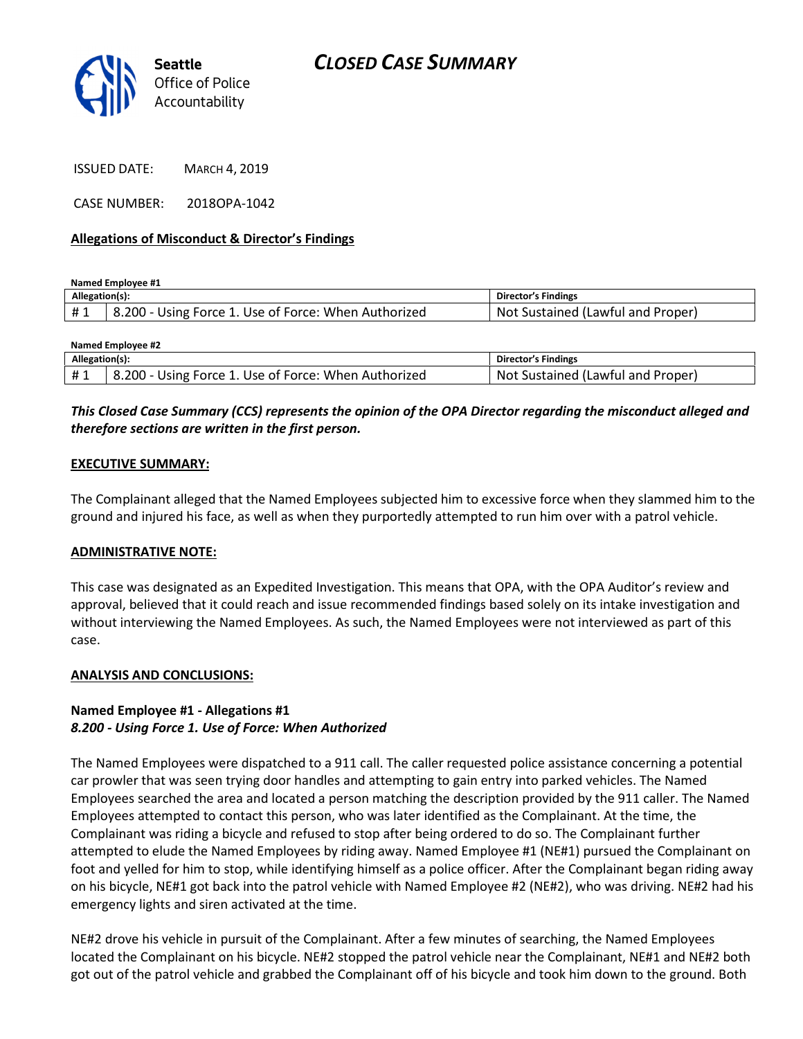

ISSUED DATE: MARCH 4, 2019

CASE NUMBER: 2018OPA-1042

## Allegations of Misconduct & Director's Findings

Named Employee #1

| Allegation(s): |                                                              | , Findingr<br>Dır<br>-стог                       |
|----------------|--------------------------------------------------------------|--------------------------------------------------|
|                | 200 -<br>s Force 1. Use of Force: When Authorized د<br>Jsıne | Proper<br>l and<br>Not<br>l (Lawful<br>sustained |

| Named Emplovee #2 |                                                      |                                   |  |
|-------------------|------------------------------------------------------|-----------------------------------|--|
| Allegation(s):    |                                                      | <b>Director's Findings</b>        |  |
| #1                | 8.200 - Using Force 1. Use of Force: When Authorized | Not Sustained (Lawful and Proper) |  |

# This Closed Case Summary (CCS) represents the opinion of the OPA Director regarding the misconduct alleged and therefore sections are written in the first person.

### EXECUTIVE SUMMARY:

The Complainant alleged that the Named Employees subjected him to excessive force when they slammed him to the ground and injured his face, as well as when they purportedly attempted to run him over with a patrol vehicle.

#### ADMINISTRATIVE NOTE:

This case was designated as an Expedited Investigation. This means that OPA, with the OPA Auditor's review and approval, believed that it could reach and issue recommended findings based solely on its intake investigation and without interviewing the Named Employees. As such, the Named Employees were not interviewed as part of this case.

#### ANALYSIS AND CONCLUSIONS:

## Named Employee #1 - Allegations #1 8.200 - Using Force 1. Use of Force: When Authorized

The Named Employees were dispatched to a 911 call. The caller requested police assistance concerning a potential car prowler that was seen trying door handles and attempting to gain entry into parked vehicles. The Named Employees searched the area and located a person matching the description provided by the 911 caller. The Named Employees attempted to contact this person, who was later identified as the Complainant. At the time, the Complainant was riding a bicycle and refused to stop after being ordered to do so. The Complainant further attempted to elude the Named Employees by riding away. Named Employee #1 (NE#1) pursued the Complainant on foot and yelled for him to stop, while identifying himself as a police officer. After the Complainant began riding away on his bicycle, NE#1 got back into the patrol vehicle with Named Employee #2 (NE#2), who was driving. NE#2 had his emergency lights and siren activated at the time.

NE#2 drove his vehicle in pursuit of the Complainant. After a few minutes of searching, the Named Employees located the Complainant on his bicycle. NE#2 stopped the patrol vehicle near the Complainant, NE#1 and NE#2 both got out of the patrol vehicle and grabbed the Complainant off of his bicycle and took him down to the ground. Both